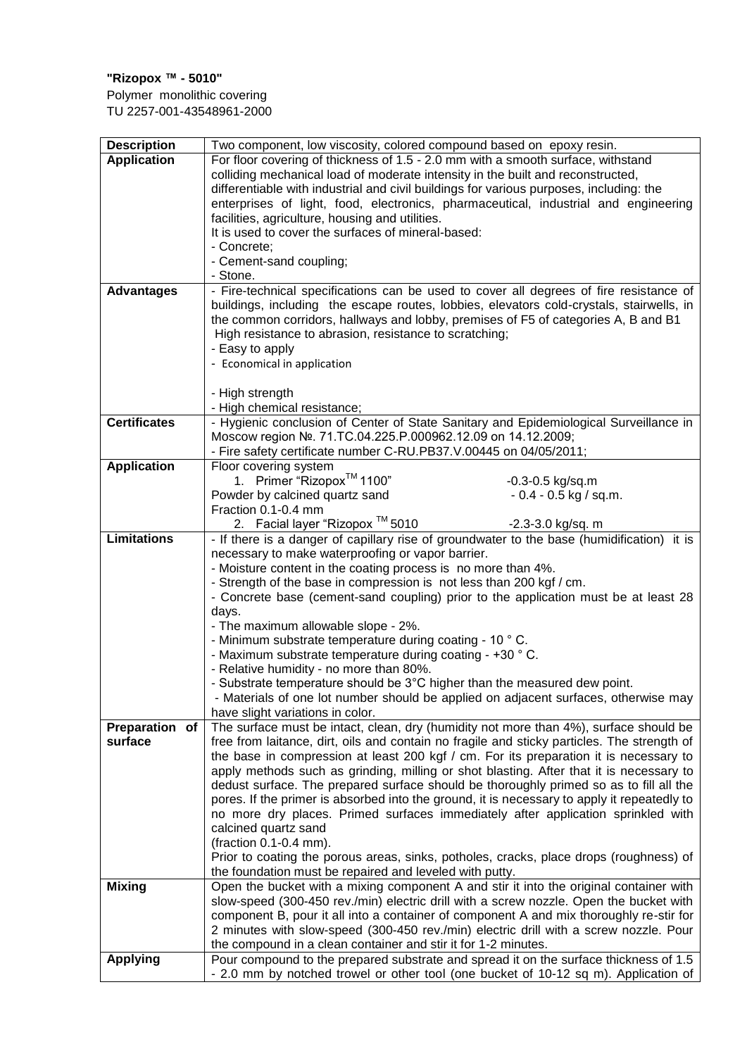## **"Rizopox ™ - 5010"**

Polymer monolithic covering TU 2257-001-43548961-2000

| <b>Description</b>  | Two component, low viscosity, colored compound based on epoxy resin.                                                                                                             |  |  |  |
|---------------------|----------------------------------------------------------------------------------------------------------------------------------------------------------------------------------|--|--|--|
| <b>Application</b>  | For floor covering of thickness of 1.5 - 2.0 mm with a smooth surface, withstand                                                                                                 |  |  |  |
|                     | colliding mechanical load of moderate intensity in the built and reconstructed,                                                                                                  |  |  |  |
|                     | differentiable with industrial and civil buildings for various purposes, including: the                                                                                          |  |  |  |
|                     | enterprises of light, food, electronics, pharmaceutical, industrial and engineering                                                                                              |  |  |  |
|                     | facilities, agriculture, housing and utilities.                                                                                                                                  |  |  |  |
|                     | It is used to cover the surfaces of mineral-based:                                                                                                                               |  |  |  |
|                     | - Concrete;                                                                                                                                                                      |  |  |  |
|                     | - Cement-sand coupling;                                                                                                                                                          |  |  |  |
|                     | - Stone.                                                                                                                                                                         |  |  |  |
| <b>Advantages</b>   | - Fire-technical specifications can be used to cover all degrees of fire resistance of                                                                                           |  |  |  |
|                     | buildings, including the escape routes, lobbies, elevators cold-crystals, stairwells, in                                                                                         |  |  |  |
|                     | the common corridors, hallways and lobby, premises of F5 of categories A, B and B1                                                                                               |  |  |  |
|                     | High resistance to abrasion, resistance to scratching;                                                                                                                           |  |  |  |
|                     | - Easy to apply                                                                                                                                                                  |  |  |  |
|                     | - Economical in application                                                                                                                                                      |  |  |  |
|                     |                                                                                                                                                                                  |  |  |  |
|                     | - High strength                                                                                                                                                                  |  |  |  |
|                     | - High chemical resistance;                                                                                                                                                      |  |  |  |
| <b>Certificates</b> | - Hygienic conclusion of Center of State Sanitary and Epidemiological Surveillance in                                                                                            |  |  |  |
|                     | Moscow region Nº. 71.TC.04.225.P.000962.12.09 on 14.12.2009;                                                                                                                     |  |  |  |
|                     | - Fire safety certificate number C-RU.PB37.V.00445 on 04/05/2011;                                                                                                                |  |  |  |
| <b>Application</b>  | Floor covering system                                                                                                                                                            |  |  |  |
|                     | 1. Primer "Rizopox™ 1100"<br>$-0.3 - 0.5$ kg/sq.m                                                                                                                                |  |  |  |
|                     | Powder by calcined quartz sand<br>$-0.4 - 0.5$ kg / sq.m.                                                                                                                        |  |  |  |
|                     | Fraction 0.1-0.4 mm                                                                                                                                                              |  |  |  |
|                     | 2. Facial layer "Rizopox ™ 5010<br>-2.3-3.0 kg/sq. m                                                                                                                             |  |  |  |
| <b>Limitations</b>  | - If there is a danger of capillary rise of groundwater to the base (humidification) it is                                                                                       |  |  |  |
|                     | necessary to make waterproofing or vapor barrier.                                                                                                                                |  |  |  |
|                     | - Moisture content in the coating process is no more than 4%.                                                                                                                    |  |  |  |
|                     | - Strength of the base in compression is not less than 200 kgf / cm.                                                                                                             |  |  |  |
|                     | - Concrete base (cement-sand coupling) prior to the application must be at least 28                                                                                              |  |  |  |
|                     | days.                                                                                                                                                                            |  |  |  |
|                     | - The maximum allowable slope - 2%.                                                                                                                                              |  |  |  |
|                     | - Minimum substrate temperature during coating - 10 °C.                                                                                                                          |  |  |  |
|                     | - Maximum substrate temperature during coating - +30 °C.                                                                                                                         |  |  |  |
|                     | - Relative humidity - no more than 80%.                                                                                                                                          |  |  |  |
|                     | - Substrate temperature should be 3°C higher than the measured dew point.                                                                                                        |  |  |  |
|                     | - Materials of one lot number should be applied on adjacent surfaces, otherwise may                                                                                              |  |  |  |
|                     | have slight variations in color.                                                                                                                                                 |  |  |  |
| Preparation of      | The surface must be intact, clean, dry (humidity not more than 4%), surface should be                                                                                            |  |  |  |
| surface             | free from laitance, dirt, oils and contain no fragile and sticky particles. The strength of                                                                                      |  |  |  |
|                     | the base in compression at least 200 kgf / cm. For its preparation it is necessary to                                                                                            |  |  |  |
|                     | apply methods such as grinding, milling or shot blasting. After that it is necessary to                                                                                          |  |  |  |
|                     | dedust surface. The prepared surface should be thoroughly primed so as to fill all the                                                                                           |  |  |  |
|                     | pores. If the primer is absorbed into the ground, it is necessary to apply it repeatedly to                                                                                      |  |  |  |
|                     | no more dry places. Primed surfaces immediately after application sprinkled with                                                                                                 |  |  |  |
|                     | calcined quartz sand                                                                                                                                                             |  |  |  |
|                     | (fraction 0.1-0.4 mm).                                                                                                                                                           |  |  |  |
|                     | Prior to coating the porous areas, sinks, potholes, cracks, place drops (roughness) of                                                                                           |  |  |  |
| <b>Mixing</b>       | the foundation must be repaired and leveled with putty.                                                                                                                          |  |  |  |
|                     | Open the bucket with a mixing component A and stir it into the original container with<br>slow-speed (300-450 rev./min) electric drill with a screw nozzle. Open the bucket with |  |  |  |
|                     | component B, pour it all into a container of component A and mix thoroughly re-stir for                                                                                          |  |  |  |
|                     | 2 minutes with slow-speed (300-450 rev./min) electric drill with a screw nozzle. Pour                                                                                            |  |  |  |
|                     | the compound in a clean container and stir it for 1-2 minutes.                                                                                                                   |  |  |  |
| <b>Applying</b>     | Pour compound to the prepared substrate and spread it on the surface thickness of 1.5                                                                                            |  |  |  |
|                     | - 2.0 mm by notched trowel or other tool (one bucket of 10-12 sq m). Application of                                                                                              |  |  |  |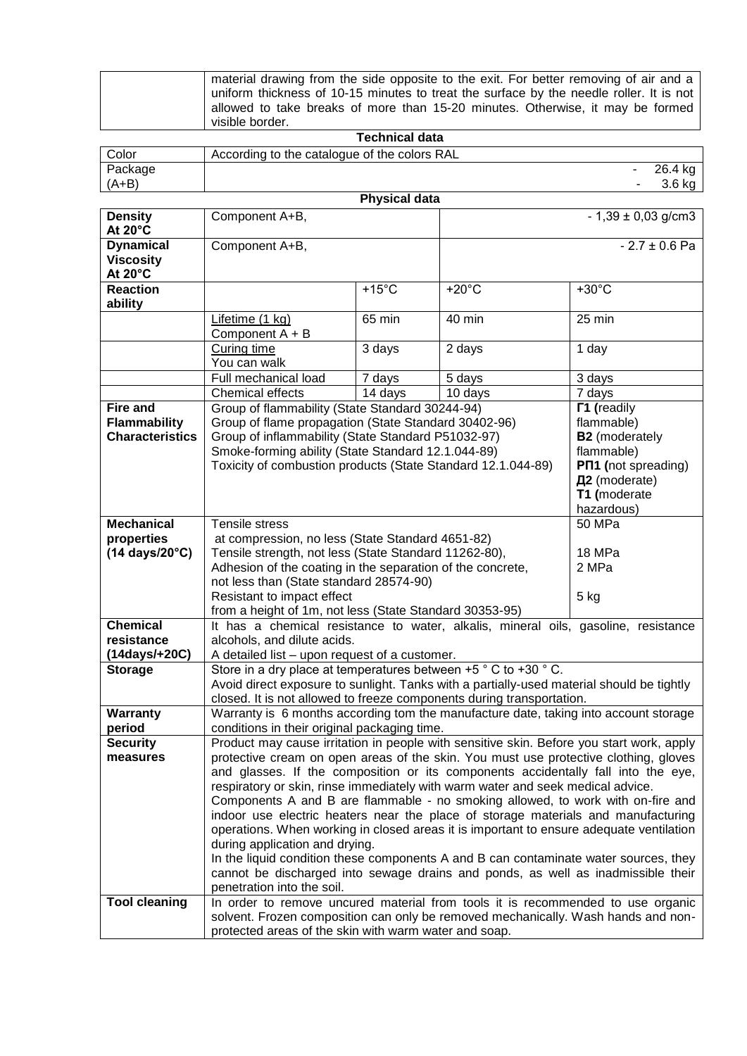| visible border.<br>Tochnical data                                                       |
|-----------------------------------------------------------------------------------------|
| allowed to take breaks of more than 15-20 minutes. Otherwise, it may be formed          |
| uniform thickness of 10-15 minutes to treat the surface by the needle roller. It is not |
| material drawing from the side opposite to the exit. For better removing of air and a   |

| Technical data       |                                              |  |          |  |  |  |
|----------------------|----------------------------------------------|--|----------|--|--|--|
| Color                | According to the catalogue of the colors RAL |  |          |  |  |  |
| Package              |                                              |  | 26.4 kg  |  |  |  |
| $(A+B)$              |                                              |  | $3.6$ kg |  |  |  |
| <b>Physical data</b> |                                              |  |          |  |  |  |

| <b>Density</b>         | Component A+B,                                                                                                                                                            | ı ılyəlval uata                                                                                                                                                      |                   | $-1,39 \pm 0,03$ g/cm3     |  |  |  |
|------------------------|---------------------------------------------------------------------------------------------------------------------------------------------------------------------------|----------------------------------------------------------------------------------------------------------------------------------------------------------------------|-------------------|----------------------------|--|--|--|
| At 20°C                |                                                                                                                                                                           |                                                                                                                                                                      |                   |                            |  |  |  |
| <b>Dynamical</b>       | Component A+B,                                                                                                                                                            |                                                                                                                                                                      |                   | $-2.7 \pm 0.6$ Pa          |  |  |  |
| <b>Viscosity</b>       |                                                                                                                                                                           |                                                                                                                                                                      |                   |                            |  |  |  |
| At 20°C                |                                                                                                                                                                           |                                                                                                                                                                      |                   |                            |  |  |  |
| <b>Reaction</b>        |                                                                                                                                                                           | $+15^{\circ}$ C                                                                                                                                                      | $+20^{\circ}$ C   | $+30^{\circ}$ C            |  |  |  |
| ability                |                                                                                                                                                                           |                                                                                                                                                                      |                   |                            |  |  |  |
|                        | Lifetime (1 kg)                                                                                                                                                           | 65 min                                                                                                                                                               | 40 min            | 25 min                     |  |  |  |
|                        | Component A + B                                                                                                                                                           |                                                                                                                                                                      |                   |                            |  |  |  |
|                        | Curing time<br>You can walk                                                                                                                                               | 3 days                                                                                                                                                               | 2 days            | 1 day                      |  |  |  |
|                        | Full mechanical load                                                                                                                                                      |                                                                                                                                                                      |                   |                            |  |  |  |
|                        | Chemical effects                                                                                                                                                          | 7 days<br>14 days                                                                                                                                                    | 5 days<br>10 days | 3 days<br>7 days           |  |  |  |
| <b>Fire and</b>        | Group of flammability (State Standard 30244-94)                                                                                                                           |                                                                                                                                                                      |                   | <b>F1</b> (readily         |  |  |  |
| <b>Flammability</b>    | Group of flame propagation (State Standard 30402-96)                                                                                                                      |                                                                                                                                                                      |                   | flammable)                 |  |  |  |
| <b>Characteristics</b> | Group of inflammability (State Standard P51032-97)                                                                                                                        |                                                                                                                                                                      |                   | <b>B2</b> (moderately      |  |  |  |
|                        | Smoke-forming ability (State Standard 12.1.044-89)                                                                                                                        |                                                                                                                                                                      |                   | flammable)                 |  |  |  |
|                        | Toxicity of combustion products (State Standard 12.1.044-89)                                                                                                              |                                                                                                                                                                      |                   | <b>PN1</b> (not spreading) |  |  |  |
|                        |                                                                                                                                                                           | Д2 (moderate)                                                                                                                                                        |                   |                            |  |  |  |
|                        |                                                                                                                                                                           | T1 (moderate                                                                                                                                                         |                   |                            |  |  |  |
|                        |                                                                                                                                                                           |                                                                                                                                                                      |                   | hazardous)                 |  |  |  |
| <b>Mechanical</b>      | Tensile stress                                                                                                                                                            |                                                                                                                                                                      |                   | <b>50 MPa</b>              |  |  |  |
| properties             | at compression, no less (State Standard 4651-82)                                                                                                                          |                                                                                                                                                                      |                   |                            |  |  |  |
| (14 days/20°C)         | Tensile strength, not less (State Standard 11262-80),                                                                                                                     |                                                                                                                                                                      |                   | 18 MPa                     |  |  |  |
|                        | Adhesion of the coating in the separation of the concrete,                                                                                                                |                                                                                                                                                                      |                   | 2 MPa                      |  |  |  |
|                        | not less than (State standard 28574-90)                                                                                                                                   |                                                                                                                                                                      |                   |                            |  |  |  |
|                        | Resistant to impact effect<br>5 kg<br>from a height of 1m, not less (State Standard 30353-95)                                                                             |                                                                                                                                                                      |                   |                            |  |  |  |
| <b>Chemical</b>        | It has a chemical resistance to water, alkalis, mineral oils, gasoline, resistance                                                                                        |                                                                                                                                                                      |                   |                            |  |  |  |
| resistance             | alcohols, and dilute acids.                                                                                                                                               |                                                                                                                                                                      |                   |                            |  |  |  |
| (14days/+20C)          | A detailed list – upon request of a customer.                                                                                                                             |                                                                                                                                                                      |                   |                            |  |  |  |
| <b>Storage</b>         | Store in a dry place at temperatures between $+5$ ° C to $+30$ ° C.                                                                                                       |                                                                                                                                                                      |                   |                            |  |  |  |
|                        |                                                                                                                                                                           | Avoid direct exposure to sunlight. Tanks with a partially-used material should be tightly                                                                            |                   |                            |  |  |  |
|                        | closed. It is not allowed to freeze components during transportation.                                                                                                     |                                                                                                                                                                      |                   |                            |  |  |  |
| Warranty               | Warranty is 6 months according tom the manufacture date, taking into account storage                                                                                      |                                                                                                                                                                      |                   |                            |  |  |  |
| period                 | conditions in their original packaging time.                                                                                                                              |                                                                                                                                                                      |                   |                            |  |  |  |
| <b>Security</b>        | Product may cause irritation in people with sensitive skin. Before you start work, apply                                                                                  |                                                                                                                                                                      |                   |                            |  |  |  |
| measures               | protective cream on open areas of the skin. You must use protective clothing, gloves<br>and glasses. If the composition or its components accidentally fall into the eye, |                                                                                                                                                                      |                   |                            |  |  |  |
|                        | respiratory or skin, rinse immediately with warm water and seek medical advice.                                                                                           |                                                                                                                                                                      |                   |                            |  |  |  |
|                        |                                                                                                                                                                           |                                                                                                                                                                      |                   |                            |  |  |  |
|                        |                                                                                                                                                                           | Components A and B are flammable - no smoking allowed, to work with on-fire and<br>indoor use electric heaters near the place of storage materials and manufacturing |                   |                            |  |  |  |
|                        | operations. When working in closed areas it is important to ensure adequate ventilation                                                                                   |                                                                                                                                                                      |                   |                            |  |  |  |
|                        | during application and drying.                                                                                                                                            |                                                                                                                                                                      |                   |                            |  |  |  |
|                        |                                                                                                                                                                           | In the liquid condition these components A and B can contaminate water sources, they                                                                                 |                   |                            |  |  |  |
|                        | cannot be discharged into sewage drains and ponds, as well as inadmissible their                                                                                          |                                                                                                                                                                      |                   |                            |  |  |  |
|                        | penetration into the soil.                                                                                                                                                |                                                                                                                                                                      |                   |                            |  |  |  |
| <b>Tool cleaning</b>   | In order to remove uncured material from tools it is recommended to use organic                                                                                           |                                                                                                                                                                      |                   |                            |  |  |  |
|                        | solvent. Frozen composition can only be removed mechanically. Wash hands and non-                                                                                         |                                                                                                                                                                      |                   |                            |  |  |  |
|                        | protected areas of the skin with warm water and soap.                                                                                                                     |                                                                                                                                                                      |                   |                            |  |  |  |